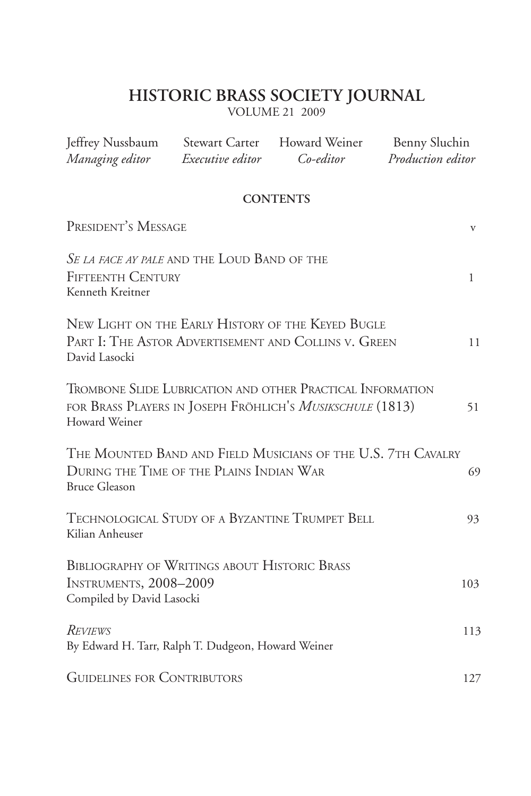### **HISTORIC BRASS SOCIETY JOURNAL**

VOLUME 21 2009

| Jeffrey Nussbaum<br>Managing editor                                                                                                      | <b>Stewart Carter</b><br>Executive editor | Howard Weiner<br>Co-editor | Benny Sluchin<br>Production editor |     |
|------------------------------------------------------------------------------------------------------------------------------------------|-------------------------------------------|----------------------------|------------------------------------|-----|
|                                                                                                                                          |                                           | <b>CONTENTS</b>            |                                    |     |
| PRESIDENT'S MESSAGE                                                                                                                      |                                           |                            |                                    | V   |
| SE LA FACE AY PALE AND THE LOUD BAND OF THE<br><b>FIFTEENTH CENTURY</b><br>Kenneth Kreitner                                              |                                           |                            |                                    | 1   |
| NEW LIGHT ON THE EARLY HISTORY OF THE KEYED BUGLE<br>PART I: THE ASTOR ADVERTISEMENT AND COLLINS V. GREEN<br>David Lasocki               |                                           |                            |                                    | 11  |
| TROMBONE SLIDE LUBRICATION AND OTHER PRACTICAL INFORMATION<br>FOR BRASS PLAYERS IN JOSEPH FRÖHLICH'S MUSIKSCHULE (1813)<br>Howard Weiner |                                           |                            |                                    | 51  |
| THE MOUNTED BAND AND FIELD MUSICIANS OF THE U.S. 7TH CAVALRY<br>DURING THE TIME OF THE PLAINS INDIAN WAR<br><b>Bruce Gleason</b>         |                                           |                            |                                    | 69  |
| TECHNOLOGICAL STUDY OF A BYZANTINE TRUMPET BELL<br>Kilian Anheuser                                                                       |                                           |                            |                                    | 93  |
| <b>BIBLIOGRAPHY OF WRITINGS ABOUT HISTORIC BRASS</b><br>INSTRUMENTS, 2008-2009<br>Compiled by David Lasocki                              |                                           |                            |                                    | 103 |
| <b>REVIEWS</b><br>By Edward H. Tarr, Ralph T. Dudgeon, Howard Weiner                                                                     |                                           |                            |                                    | 113 |
| <b>GUIDELINES FOR CONTRIBUTORS</b>                                                                                                       |                                           |                            |                                    | 127 |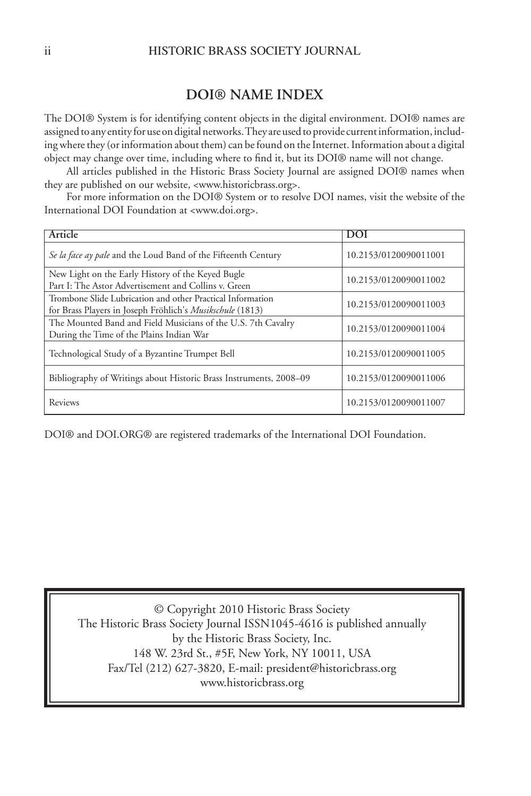#### **DOI® NAME INDEX**

The DOI® System is for identifying content objects in the digital environment. DOI® names are assigned to any entity for use on digital networks. They are used to provide current information, including where they (or information about them) can be found on the Internet. Information about a digital object may change over time, including where to find it, but its DOI® name will not change.

All articles published in the Historic Brass Society Journal are assigned DOI® names when they are published on our website, <www.historicbrass.org>.

For more information on the DOI® System or to resolve DOI names, visit the website of the International DOI Foundation at <www.doi.org>.

| Article                                                                                                                 | DOI                   |
|-------------------------------------------------------------------------------------------------------------------------|-----------------------|
| Se la face ay pale and the Loud Band of the Fifteenth Century                                                           | 10.2153/0120090011001 |
| New Light on the Early History of the Keyed Bugle<br>Part I: The Astor Advertisement and Collins v. Green               | 10.2153/0120090011002 |
| Trombone Slide Lubrication and other Practical Information<br>for Brass Players in Joseph Fröhlich's Musikschule (1813) | 10.2153/0120090011003 |
| The Mounted Band and Field Musicians of the U.S. 7th Cavalry<br>During the Time of the Plains Indian War                | 10.2153/0120090011004 |
| Technological Study of a Byzantine Trumpet Bell                                                                         | 10.2153/0120090011005 |
| Bibliography of Writings about Historic Brass Instruments, 2008–09                                                      | 10.2153/0120090011006 |
| Reviews                                                                                                                 | 10.2153/0120090011007 |

DOI® and DOI.ORG® are registered trademarks of the International DOI Foundation.

© Copyright 2010 Historic Brass Society The Historic Brass Society Journal ISSN1045-4616 is published annually by the Historic Brass Society, Inc. 148 W. 23rd St., #5F, New York, NY 10011, USA Fax/Tel (212) 627-3820, E-mail: president@historicbrass.org www.historicbrass.org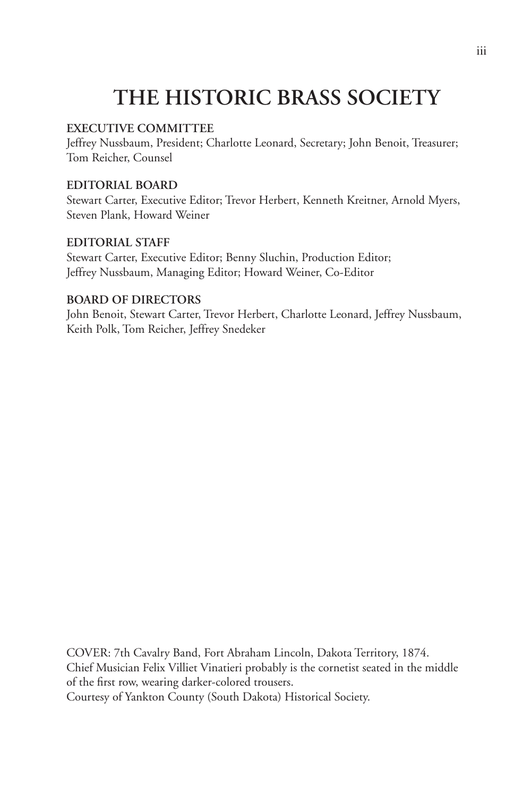# **THE HISTORIC BRASS SOCIETY**

#### **EXECUTIVE COMMITTEE**

Jeffrey Nussbaum, President; Charlotte Leonard, Secretary; John Benoit, Treasurer; Tom Reicher, Counsel

#### **EDITORIAL BOARD**

Stewart Carter, Executive Editor; Trevor Herbert, Kenneth Kreitner, Arnold Myers, Steven Plank, Howard Weiner

#### **EDITORIAL STAFF**

Stewart Carter, Executive Editor; Benny Sluchin, Production Editor; Jeffrey Nussbaum, Managing Editor; Howard Weiner, Co-Editor

#### **BOARD OF DIRECTORS**

John Benoit, Stewart Carter, Trevor Herbert, Charlotte Leonard, Jeffrey Nussbaum, Keith Polk, Tom Reicher, Jeffrey Snedeker

COVER: 7th Cavalry Band, Fort Abraham Lincoln, Dakota Territory, 1874. Chief Musician Felix Villiet Vinatieri probably is the cornetist seated in the middle of the first row, wearing darker-colored trousers. Courtesy of Yankton County (South Dakota) Historical Society.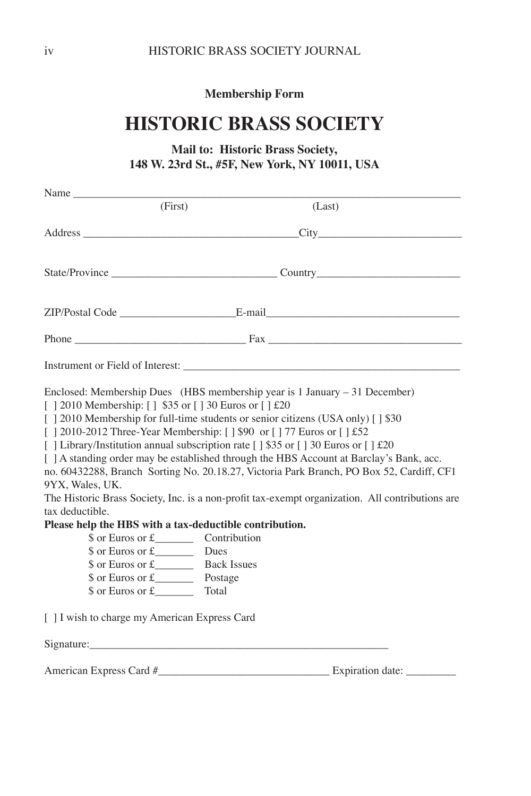**Membership Form**

# **HISTORIC BRASS SOCIETY**

#### **Mail to: Historic Brass Society, 148 W. 23rd St., #5F, New York, NY 10011, USA**

| Name                                                                                                                                                                                                                                                                                                                                                                                                                                                |                                                     |                                                                                                                                                                                                                                                                                        |
|-----------------------------------------------------------------------------------------------------------------------------------------------------------------------------------------------------------------------------------------------------------------------------------------------------------------------------------------------------------------------------------------------------------------------------------------------------|-----------------------------------------------------|----------------------------------------------------------------------------------------------------------------------------------------------------------------------------------------------------------------------------------------------------------------------------------------|
| (First)                                                                                                                                                                                                                                                                                                                                                                                                                                             |                                                     | (Last)                                                                                                                                                                                                                                                                                 |
|                                                                                                                                                                                                                                                                                                                                                                                                                                                     |                                                     | Address City City                                                                                                                                                                                                                                                                      |
|                                                                                                                                                                                                                                                                                                                                                                                                                                                     |                                                     |                                                                                                                                                                                                                                                                                        |
|                                                                                                                                                                                                                                                                                                                                                                                                                                                     |                                                     |                                                                                                                                                                                                                                                                                        |
|                                                                                                                                                                                                                                                                                                                                                                                                                                                     |                                                     |                                                                                                                                                                                                                                                                                        |
| Instrument or Field of Interest:                                                                                                                                                                                                                                                                                                                                                                                                                    |                                                     |                                                                                                                                                                                                                                                                                        |
| Enclosed: Membership Dues (HBS membership year is $1$ January $-31$ December)<br>[] 2010 Membership: [] \$35 or [] 30 Euros or [] £20<br>[   2010 Membership for full-time students or senior citizens (USA only) [   \$30<br>[   2010-2012 Three-Year Membership: [   \$90 or [   77 Euros or [   £52<br>[ ] Library/Institution annual subscription rate [ ] \$35 or [ ] 30 Euros or [ ] $\text{\pounds}20$<br>9YX, Wales, UK.<br>tax deductible. |                                                     | [ ] A standing order may be established through the HBS Account at Barclay's Bank, acc.<br>no. 60432288, Branch Sorting No. 20.18.27, Victoria Park Branch, PO Box 52, Cardiff, CF1<br>The Historic Brass Society, Inc. is a non-profit tax-exempt organization. All contributions are |
| Please help the HBS with a tax-deductible contribution.<br>$\text{\$ or Euros or f}\$<br>$\text{\$ or Euros or f}\$<br>$\text{\$ or Euros or\ £}$<br>$\text{\$ or Euros or\ £}$ Postage                                                                                                                                                                                                                                                             | Contribution<br>Dues<br><b>Back Issues</b><br>Total |                                                                                                                                                                                                                                                                                        |
| [ ] I wish to charge my American Express Card                                                                                                                                                                                                                                                                                                                                                                                                       |                                                     |                                                                                                                                                                                                                                                                                        |
|                                                                                                                                                                                                                                                                                                                                                                                                                                                     |                                                     |                                                                                                                                                                                                                                                                                        |
| American Express Card #                                                                                                                                                                                                                                                                                                                                                                                                                             |                                                     | Expiration date:                                                                                                                                                                                                                                                                       |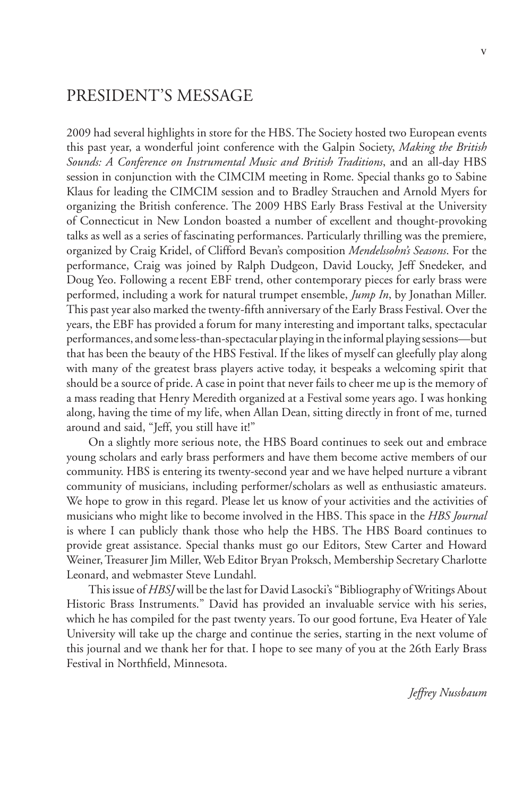### PRESIDENT'S MESSAGE

2009 had several highlights in store for the HBS. The Society hosted two European events this past year, a wonderful joint conference with the Galpin Society, *Making the British Sounds: A Conference on Instrumental Music and British Traditions*, and an all-day HBS session in conjunction with the CIMCIM meeting in Rome. Special thanks go to Sabine Klaus for leading the CIMCIM session and to Bradley Strauchen and Arnold Myers for organizing the British conference. The 2009 HBS Early Brass Festival at the University of Connecticut in New London boasted a number of excellent and thought-provoking talks as well as a series of fascinating performances. Particularly thrilling was the premiere, organized by Craig Kridel, of Clifford Bevan's composition *Mendelssohn's Seasons*. For the performance, Craig was joined by Ralph Dudgeon, David Loucky, Jeff Snedeker, and Doug Yeo. Following a recent EBF trend, other contemporary pieces for early brass were performed, including a work for natural trumpet ensemble, *Jump In*, by Jonathan Miller. This past year also marked the twenty-fifth anniversary of the Early Brass Festival. Over the years, the EBF has provided a forum for many interesting and important talks, spectacular performances, and some less-than-spectacular playing in the informal playing sessions—but that has been the beauty of the HBS Festival. If the likes of myself can gleefully play along with many of the greatest brass players active today, it bespeaks a welcoming spirit that should be a source of pride. A case in point that never fails to cheer me up is the memory of a mass reading that Henry Meredith organized at a Festival some years ago. I was honking along, having the time of my life, when Allan Dean, sitting directly in front of me, turned around and said, "Jeff, you still have it!"

On a slightly more serious note, the HBS Board continues to seek out and embrace young scholars and early brass performers and have them become active members of our community. HBS is entering its twenty-second year and we have helped nurture a vibrant community of musicians, including performer/scholars as well as enthusiastic amateurs. We hope to grow in this regard. Please let us know of your activities and the activities of musicians who might like to become involved in the HBS. This space in the *HBS Journal* is where I can publicly thank those who help the HBS. The HBS Board continues to provide great assistance. Special thanks must go our Editors, Stew Carter and Howard Weiner, Treasurer Jim Miller, Web Editor Bryan Proksch, Membership Secretary Charlotte Leonard, and webmaster Steve Lundahl.

This issue of *HBSJ* will be the last for David Lasocki's "Bibliography of Writings About Historic Brass Instruments." David has provided an invaluable service with his series, which he has compiled for the past twenty years. To our good fortune, Eva Heater of Yale University will take up the charge and continue the series, starting in the next volume of this journal and we thank her for that. I hope to see many of you at the 26th Early Brass Festival in Northfield, Minnesota.

*Jeffrey Nussbaum*